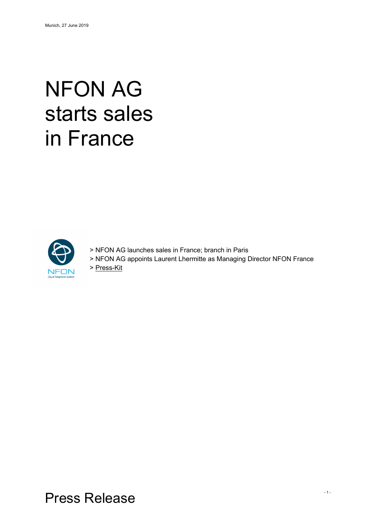# NFON AG starts sales in France



- > NFON AG launches sales in France; branch in Paris
- > NFON AG appoints Laurent Lhermitte as Managing Director NFON France

> Press-Kit

Press Release - 1 -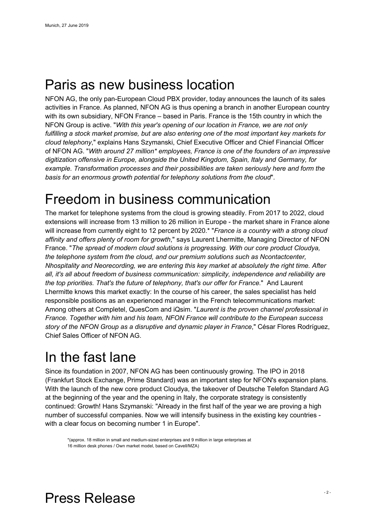## Paris as new business location

NFON AG, the only pan-European Cloud PBX provider, today announces the launch of its sales activities in France. As planned, NFON AG is thus opening a branch in another European country with its own subsidiary, NFON France – based in Paris. France is the 15th country in which the NFON Group is active. "*With this year's opening of our location in France, we are not only fulfilling a stock market promise, but are also entering one of the most important key markets for cloud telephony*," explains Hans Szymanski, Chief Executive Officer and Chief Financial Officer of NFON AG. "*With around 27 million\* employees, France is one of the founders of an impressive digitization offensive in Europe, alongside the United Kingdom, Spain, Italy and Germany, for example. Transformation processes and their possibilities are taken seriously here and form the basis for an enormous growth potential for telephony solutions from the cloud*".

## Freedom in business communication

The market for telephone systems from the cloud is growing steadily. From 2017 to 2022, cloud extensions will increase from 13 million to 26 million in Europe - the market share in France alone will increase from currently eight to 12 percent by 2020.\* "*France is a country with a strong cloud affinity and offers plenty of room for growth*," says Laurent Lhermitte, Managing Director of NFON France. "*The spread of modern cloud solutions is progressing. With our core product Cloudya, the telephone system from the cloud, and our premium solutions such as Ncontactcenter, Nhospitality and Neorecording, we are entering this key market at absolutely the right time. After all, it's all about freedom of business communication: simplicity, independence and reliability are the top priorities. That's the future of telephony, that's our offer for France*." And Laurent Lhermitte knows this market exactly: In the course of his career, the sales specialist has held responsible positions as an experienced manager in the French telecommunications market: Among others at Completel, QuesCom and iQsim. "*Laurent is the proven channel professional in France. Together with him and his team, NFON France will contribute to the European success story of the NFON Group as a disruptive and dynamic player in France*," César Flores Rodríguez, Chief Sales Officer of NFON AG.

# In the fast lane

Since its foundation in 2007, NFON AG has been continuously growing. The IPO in 2018 (Frankfurt Stock Exchange, Prime Standard) was an important step for NFON's expansion plans. With the launch of the new core product Cloudya, the takeover of Deutsche Telefon Standard AG at the beginning of the year and the opening in Italy, the corporate strategy is consistently continued: Growth! Hans Szymanski: "Already in the first half of the year we are proving a high number of successful companies. Now we will intensify business in the existing key countries with a clear focus on becoming number 1 in Europe".

\*(approx. 18 million in small and medium-sized enterprises and 9 million in large enterprises at 16 million desk phones / Own market model, based on Cavell/MZA)

# Press Release - 2 -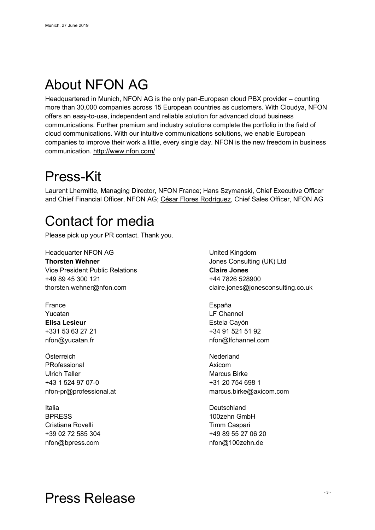# About NFON AG

Headquartered in Munich, NFON AG is the only pan-European cloud PBX provider – counting more than 30,000 companies across 15 European countries as customers. With Cloudya, NFON offers an easy-to-use, independent and reliable solution for advanced cloud business communications. Further premium and industry solutions complete the portfolio in the field of cloud communications. With our intuitive communications solutions, we enable European companies to improve their work a little, every single day. NFON is the new freedom in business communication. http://www.nfon.com/

#### Press-Kit

Laurent Lhermitte, Managing Director, NFON France; Hans Szymanski, Chief Executive Officer and Chief Financial Officer, NFON AG; César Flores Rodríguez, Chief Sales Officer, NFON AG

# Contact for media

Please pick up your PR contact. Thank you.

Headquarter NFON AG **Thorsten Wehner** Vice President Public Relations +49 89 45 300 121 thorsten.wehner@nfon.com

France Yucatan **Elisa Lesieur** +331 53 63 27 21 nfon@yucatan.fr

Österreich PRofessional Ulrich Taller +43 1 524 97 07-0 nfon-pr@professional.at

Italia **BPRESS** Cristiana Rovelli +39 02 72 585 304 nfon@bpress.com

United Kingdom Jones Consulting (UK) Ltd **Claire Jones** +44 7826 528900 claire.jones@jonesconsulting.co.uk

España LF Channel Estela Cayón +34 91 521 51 92 nfon@lfchannel.com

Nederland Axicom Marcus Birke +31 20 754 698 1 marcus.birke@axicom.com

**Deutschland** 100zehn GmbH Timm Caspari +49 89 55 27 06 20 nfon@100zehn.de

# Press Release - 3 -